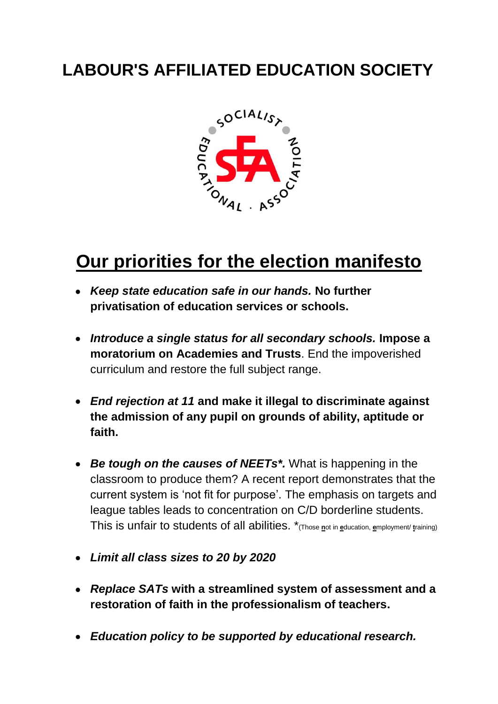## **LABOUR'S AFFILIATED EDUCATION SOCIETY**



## **Our priorities for the election manifesto**

- *Keep state education safe in our hands.* **No further privatisation of education services or schools.**
- *Introduce a single status for all secondary schools.* **Impose a moratorium on Academies and Trusts**. End the impoverished curriculum and restore the full subject range.
- *End rejection at 11* **and make it illegal to discriminate against the admission of any pupil on grounds of ability, aptitude or faith.**
- *Be tough on the causes of NEETs\*.* What is happening in the classroom to produce them? A recent report demonstrates that the current system is 'not fit for purpose'. The emphasis on targets and league tables leads to concentration on C/D borderline students. This is unfair to students of all abilities. \*(Those **n**ot in **e**ducation, **e**mployment/ **t**raining)
- *Limit all class sizes to 20 by 2020*
- *Replace SATs* **with a streamlined system of assessment and a restoration of faith in the professionalism of teachers.**
- *Education policy to be supported by educational research.*